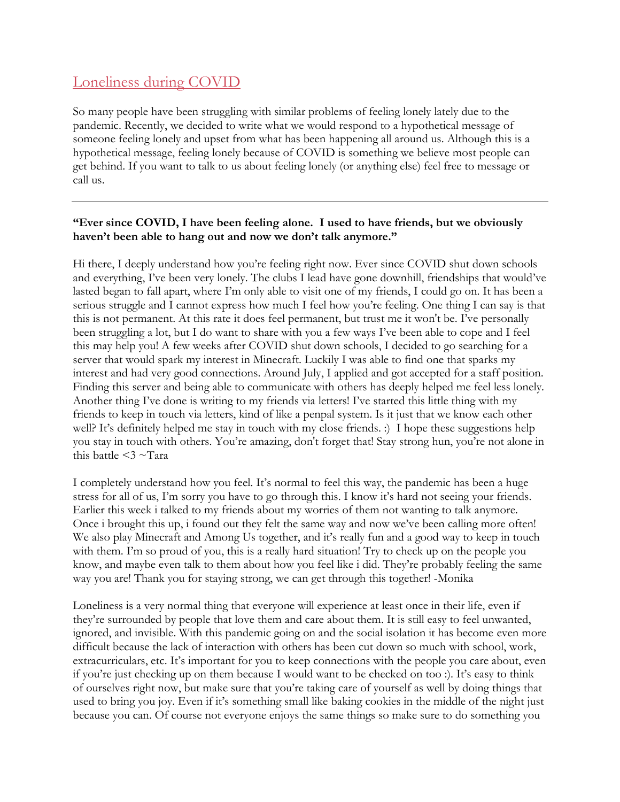## [Loneliness](https://ccteentalk.clark.wa.gov/blog/struggling-with-school-and-online-learning-during-covid) during COVID

So many people have been struggling with similar problems of feeling lonely lately due to the pandemic. Recently, we decided to write what we would respond to a hypothetical message of someone feeling lonely and upset from what has been happening all around us. Although this is a hypothetical message, feeling lonely because of COVID is something we believe most people can get behind. If you want to talk to us about feeling lonely (or anything else) feel free to message or call us.

## **"Ever since COVID, I have been feeling alone. I used to have friends, but we obviously haven't been able to hang out and now we don't talk anymore."**

Hi there, I deeply understand how you're feeling right now. Ever since COVID shut down schools and everything, I've been very lonely. The clubs I lead have gone downhill, friendships that would've lasted began to fall apart, where I'm only able to visit one of my friends, I could go on. It has been a serious struggle and I cannot express how much I feel how you're feeling. One thing I can say is that this is not permanent. At this rate it does feel permanent, but trust me it won't be. I've personally been struggling a lot, but I do want to share with you a few ways I've been able to cope and I feel this may help you! A few weeks after COVID shut down schools, I decided to go searching for a server that would spark my interest in Minecraft. Luckily I was able to find one that sparks my interest and had very good connections. Around July, I applied and got accepted for a staff position. Finding this server and being able to communicate with others has deeply helped me feel less lonely. Another thing I've done is writing to my friends via letters! I've started this little thing with my friends to keep in touch via letters, kind of like a penpal system. Is it just that we know each other well? It's definitely helped me stay in touch with my close friends. :) I hope these suggestions help you stay in touch with others. You're amazing, don't forget that! Stay strong hun, you're not alone in this battle  $\leq$ 3  $\sim$ Tara

I completely understand how you feel. It's normal to feel this way, the pandemic has been a huge stress for all of us, I'm sorry you have to go through this. I know it's hard not seeing your friends. Earlier this week i talked to my friends about my worries of them not wanting to talk anymore. Once i brought this up, i found out they felt the same way and now we've been calling more often! We also play Minecraft and Among Us together, and it's really fun and a good way to keep in touch with them. I'm so proud of you, this is a really hard situation! Try to check up on the people you know, and maybe even talk to them about how you feel like i did. They're probably feeling the same way you are! Thank you for staying strong, we can get through this together! -Monika

Loneliness is a very normal thing that everyone will experience at least once in their life, even if they're surrounded by people that love them and care about them. It is still easy to feel unwanted, ignored, and invisible. With this pandemic going on and the social isolation it has become even more difficult because the lack of interaction with others has been cut down so much with school, work, extracurriculars, etc. It's important for you to keep connections with the people you care about, even if you're just checking up on them because I would want to be checked on too :). It's easy to think of ourselves right now, but make sure that you're taking care of yourself as well by doing things that used to bring you joy. Even if it's something small like baking cookies in the middle of the night just because you can. Of course not everyone enjoys the same things so make sure to do something you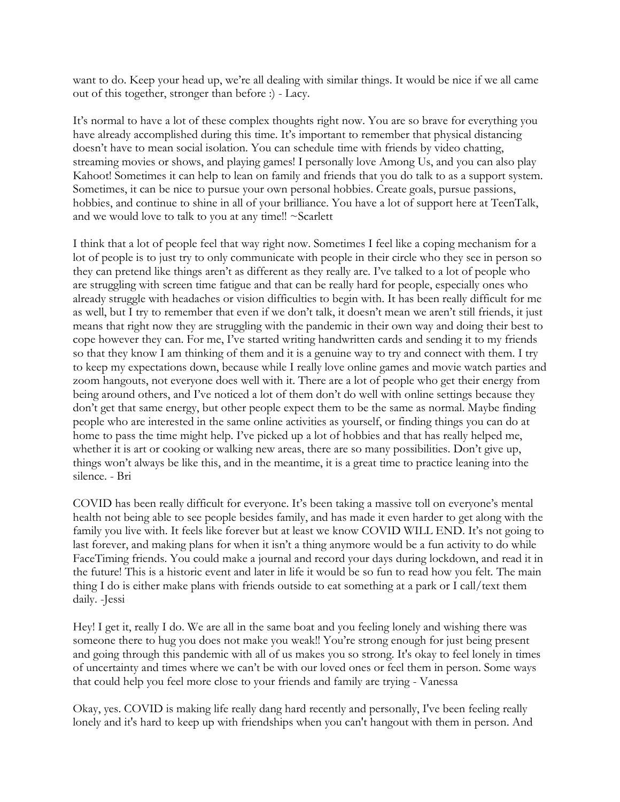want to do. Keep your head up, we're all dealing with similar things. It would be nice if we all came out of this together, stronger than before :) - Lacy.

It's normal to have a lot of these complex thoughts right now. You are so brave for everything you have already accomplished during this time. It's important to remember that physical distancing doesn't have to mean social isolation. You can schedule time with friends by video chatting, streaming movies or shows, and playing games! I personally love Among Us, and you can also play Kahoot! Sometimes it can help to lean on family and friends that you do talk to as a support system. Sometimes, it can be nice to pursue your own personal hobbies. Create goals, pursue passions, hobbies, and continue to shine in all of your brilliance. You have a lot of support here at TeenTalk, and we would love to talk to you at any time!! ~Scarlett

I think that a lot of people feel that way right now. Sometimes I feel like a coping mechanism for a lot of people is to just try to only communicate with people in their circle who they see in person so they can pretend like things aren't as different as they really are. I've talked to a lot of people who are struggling with screen time fatigue and that can be really hard for people, especially ones who already struggle with headaches or vision difficulties to begin with. It has been really difficult for me as well, but I try to remember that even if we don't talk, it doesn't mean we aren't still friends, it just means that right now they are struggling with the pandemic in their own way and doing their best to cope however they can. For me, I've started writing handwritten cards and sending it to my friends so that they know I am thinking of them and it is a genuine way to try and connect with them. I try to keep my expectations down, because while I really love online games and movie watch parties and zoom hangouts, not everyone does well with it. There are a lot of people who get their energy from being around others, and I've noticed a lot of them don't do well with online settings because they don't get that same energy, but other people expect them to be the same as normal. Maybe finding people who are interested in the same online activities as yourself, or finding things you can do at home to pass the time might help. I've picked up a lot of hobbies and that has really helped me, whether it is art or cooking or walking new areas, there are so many possibilities. Don't give up, things won't always be like this, and in the meantime, it is a great time to practice leaning into the silence. - Bri

COVID has been really difficult for everyone. It's been taking a massive toll on everyone's mental health not being able to see people besides family, and has made it even harder to get along with the family you live with. It feels like forever but at least we know COVID WILL END. It's not going to last forever, and making plans for when it isn't a thing anymore would be a fun activity to do while FaceTiming friends. You could make a journal and record your days during lockdown, and read it in the future! This is a historic event and later in life it would be so fun to read how you felt. The main thing I do is either make plans with friends outside to eat something at a park or I call/text them daily. -Jessi

Hey! I get it, really I do. We are all in the same boat and you feeling lonely and wishing there was someone there to hug you does not make you weak!! You're strong enough for just being present and going through this pandemic with all of us makes you so strong. It's okay to feel lonely in times of uncertainty and times where we can't be with our loved ones or feel them in person. Some ways that could help you feel more close to your friends and family are trying - Vanessa

Okay, yes. COVID is making life really dang hard recently and personally, I've been feeling really lonely and it's hard to keep up with friendships when you can't hangout with them in person. And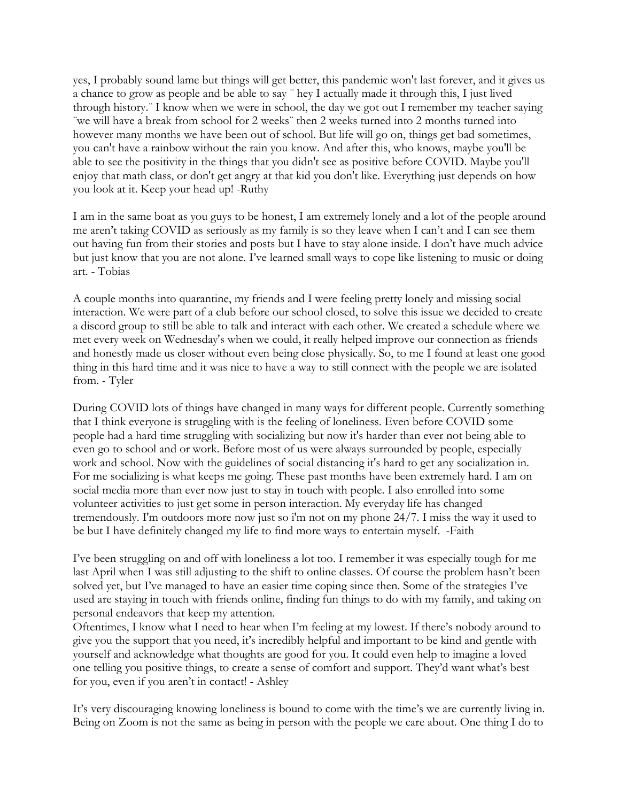yes, I probably sound lame but things will get better, this pandemic won't last forever, and it gives us a chance to grow as people and be able to say ¨ hey I actually made it through this, I just lived through history.¨ I know when we were in school, the day we got out I remember my teacher saying ¨we will have a break from school for 2 weeks¨ then 2 weeks turned into 2 months turned into however many months we have been out of school. But life will go on, things get bad sometimes, you can't have a rainbow without the rain you know. And after this, who knows, maybe you'll be able to see the positivity in the things that you didn't see as positive before COVID. Maybe you'll enjoy that math class, or don't get angry at that kid you don't like. Everything just depends on how you look at it. Keep your head up! -Ruthy

I am in the same boat as you guys to be honest, I am extremely lonely and a lot of the people around me aren't taking COVID as seriously as my family is so they leave when I can't and I can see them out having fun from their stories and posts but I have to stay alone inside. I don't have much advice but just know that you are not alone. I've learned small ways to cope like listening to music or doing art. - Tobias

A couple months into quarantine, my friends and I were feeling pretty lonely and missing social interaction. We were part of a club before our school closed, to solve this issue we decided to create a discord group to still be able to talk and interact with each other. We created a schedule where we met every week on Wednesday's when we could, it really helped improve our connection as friends and honestly made us closer without even being close physically. So, to me I found at least one good thing in this hard time and it was nice to have a way to still connect with the people we are isolated from. - Tyler

During COVID lots of things have changed in many ways for different people. Currently something that I think everyone is struggling with is the feeling of loneliness. Even before COVID some people had a hard time struggling with socializing but now it's harder than ever not being able to even go to school and or work. Before most of us were always surrounded by people, especially work and school. Now with the guidelines of social distancing it's hard to get any socialization in. For me socializing is what keeps me going. These past months have been extremely hard. I am on social media more than ever now just to stay in touch with people. I also enrolled into some volunteer activities to just get some in person interaction. My everyday life has changed tremendously. I'm outdoors more now just so i'm not on my phone 24/7. I miss the way it used to be but I have definitely changed my life to find more ways to entertain myself. -Faith

I've been struggling on and off with loneliness a lot too. I remember it was especially tough for me last April when I was still adjusting to the shift to online classes. Of course the problem hasn't been solved yet, but I've managed to have an easier time coping since then. Some of the strategies I've used are staying in touch with friends online, finding fun things to do with my family, and taking on personal endeavors that keep my attention.

Oftentimes, I know what I need to hear when I'm feeling at my lowest. If there's nobody around to give you the support that you need, it's incredibly helpful and important to be kind and gentle with yourself and acknowledge what thoughts are good for you. It could even help to imagine a loved one telling you positive things, to create a sense of comfort and support. They'd want what's best for you, even if you aren't in contact! - Ashley

It's very discouraging knowing loneliness is bound to come with the time's we are currently living in. Being on Zoom is not the same as being in person with the people we care about. One thing I do to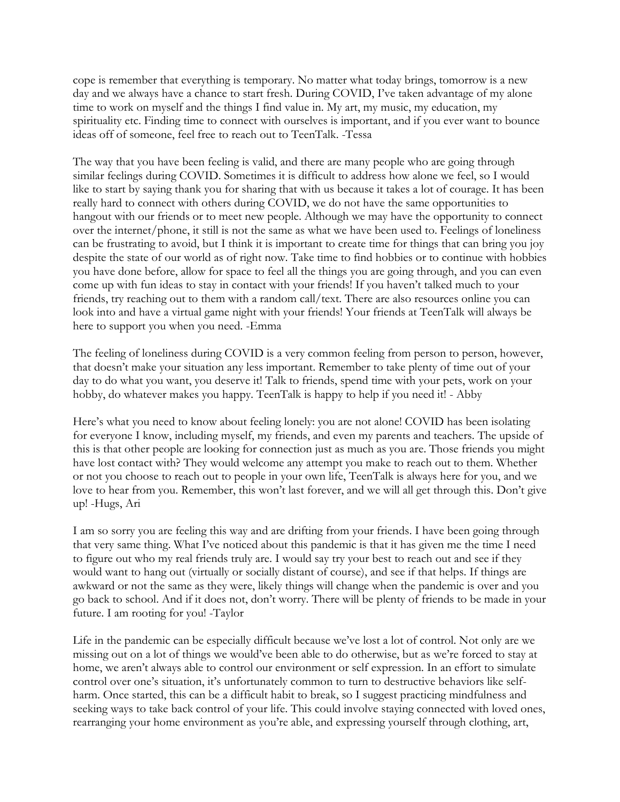cope is remember that everything is temporary. No matter what today brings, tomorrow is a new day and we always have a chance to start fresh. During COVID, I've taken advantage of my alone time to work on myself and the things I find value in. My art, my music, my education, my spirituality etc. Finding time to connect with ourselves is important, and if you ever want to bounce ideas off of someone, feel free to reach out to TeenTalk. -Tessa

The way that you have been feeling is valid, and there are many people who are going through similar feelings during COVID. Sometimes it is difficult to address how alone we feel, so I would like to start by saying thank you for sharing that with us because it takes a lot of courage. It has been really hard to connect with others during COVID, we do not have the same opportunities to hangout with our friends or to meet new people. Although we may have the opportunity to connect over the internet/phone, it still is not the same as what we have been used to. Feelings of loneliness can be frustrating to avoid, but I think it is important to create time for things that can bring you joy despite the state of our world as of right now. Take time to find hobbies or to continue with hobbies you have done before, allow for space to feel all the things you are going through, and you can even come up with fun ideas to stay in contact with your friends! If you haven't talked much to your friends, try reaching out to them with a random call/text. There are also resources online you can look into and have a virtual game night with your friends! Your friends at TeenTalk will always be here to support you when you need. -Emma

The feeling of loneliness during COVID is a very common feeling from person to person, however, that doesn't make your situation any less important. Remember to take plenty of time out of your day to do what you want, you deserve it! Talk to friends, spend time with your pets, work on your hobby, do whatever makes you happy. TeenTalk is happy to help if you need it! - Abby

Here's what you need to know about feeling lonely: you are not alone! COVID has been isolating for everyone I know, including myself, my friends, and even my parents and teachers. The upside of this is that other people are looking for connection just as much as you are. Those friends you might have lost contact with? They would welcome any attempt you make to reach out to them. Whether or not you choose to reach out to people in your own life, TeenTalk is always here for you, and we love to hear from you. Remember, this won't last forever, and we will all get through this. Don't give up! -Hugs, Ari

I am so sorry you are feeling this way and are drifting from your friends. I have been going through that very same thing. What I've noticed about this pandemic is that it has given me the time I need to figure out who my real friends truly are. I would say try your best to reach out and see if they would want to hang out (virtually or socially distant of course), and see if that helps. If things are awkward or not the same as they were, likely things will change when the pandemic is over and you go back to school. And if it does not, don't worry. There will be plenty of friends to be made in your future. I am rooting for you! -Taylor

Life in the pandemic can be especially difficult because we've lost a lot of control. Not only are we missing out on a lot of things we would've been able to do otherwise, but as we're forced to stay at home, we aren't always able to control our environment or self expression. In an effort to simulate control over one's situation, it's unfortunately common to turn to destructive behaviors like selfharm. Once started, this can be a difficult habit to break, so I suggest practicing mindfulness and seeking ways to take back control of your life. This could involve staying connected with loved ones, rearranging your home environment as you're able, and expressing yourself through clothing, art,